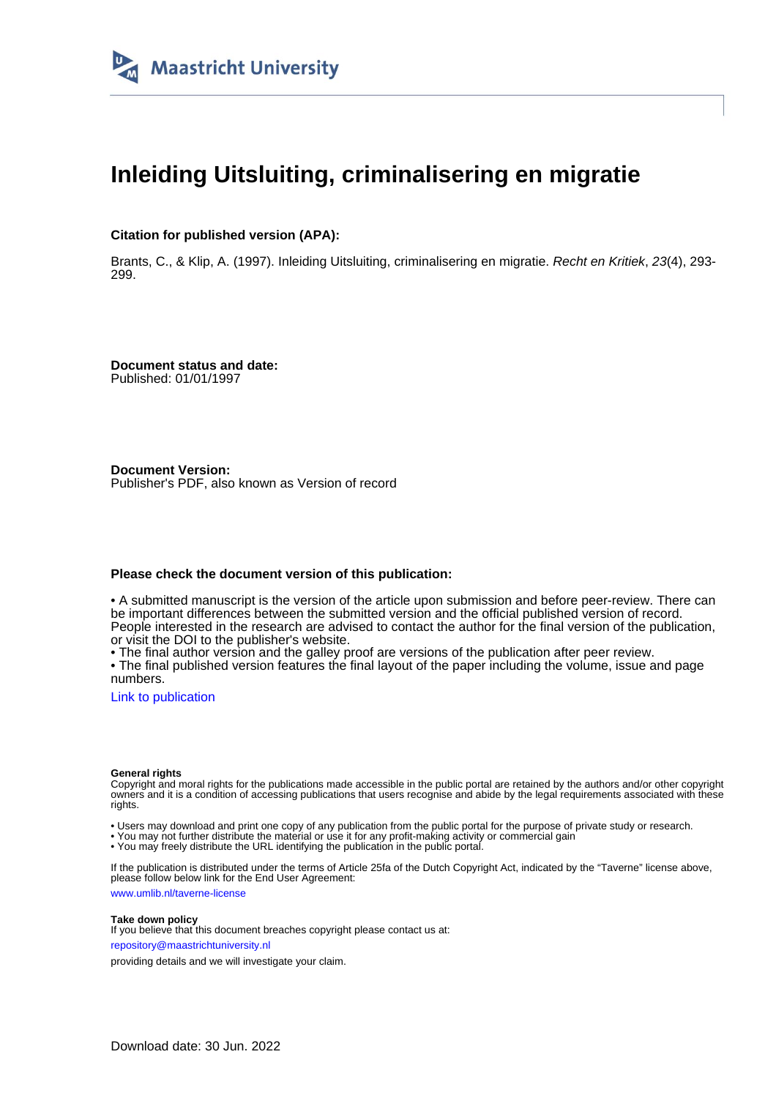

## **Inleiding Uitsluiting, criminalisering en migratie**

### **Citation for published version (APA):**

Brants, C., & Klip, A. (1997). Inleiding Uitsluiting, criminalisering en migratie. Recht en Kritiek, 23(4), 293- 299.

**Document status and date:** Published: 01/01/1997

**Document Version:** Publisher's PDF, also known as Version of record

#### **Please check the document version of this publication:**

• A submitted manuscript is the version of the article upon submission and before peer-review. There can be important differences between the submitted version and the official published version of record. People interested in the research are advised to contact the author for the final version of the publication, or visit the DOI to the publisher's website.

• The final author version and the galley proof are versions of the publication after peer review.

• The final published version features the final layout of the paper including the volume, issue and page numbers.

[Link to publication](https://cris.maastrichtuniversity.nl/en/publications/aa520417-931a-49c0-a9b6-302c5fa09987)

#### **General rights**

Copyright and moral rights for the publications made accessible in the public portal are retained by the authors and/or other copyright owners and it is a condition of accessing publications that users recognise and abide by the legal requirements associated with these rights.

• Users may download and print one copy of any publication from the public portal for the purpose of private study or research.

• You may not further distribute the material or use it for any profit-making activity or commercial gain

• You may freely distribute the URL identifying the publication in the public portal.

If the publication is distributed under the terms of Article 25fa of the Dutch Copyright Act, indicated by the "Taverne" license above, please follow below link for the End User Agreement:

www.umlib.nl/taverne-license

#### **Take down policy**

If you believe that this document breaches copyright please contact us at: repository@maastrichtuniversity.nl

providing details and we will investigate your claim.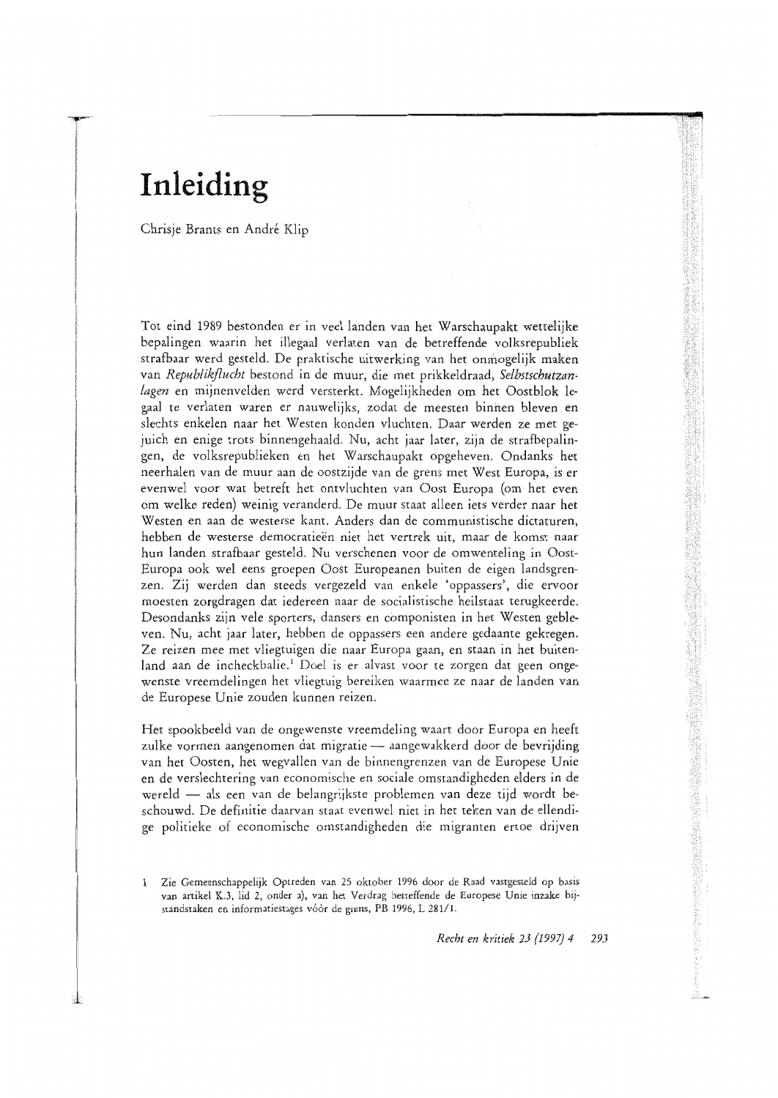# Inleiding

Chrisje Brants en André Klip

Tot eind 1989 bestonden er in veel landen van het Warschaupakt wettelijke bepalingen waarin het illegaal verlaten van de betreffende volksrepubliek strafbaar werd gesteld. De praktische uitwerking van het onmogelijk maken van Republikflucht bestond in de muur, die met prikkeldraad, Selbstschutzanlagen en mijnenvelden werd versterkt. Mogelijkheden om het Oostblok legaal te verlaten waren er nauwelijks, zodat de meesten binnen bleven en slechts enkelen naar het Westen konden vluchten. Daar werden ze met gejuich en enige trots binnengehaald. Nu, acht jaar later, zijn de strafbepalingen, de volksrepublieken en het Warschaupakt opgeheven. Ondanks het neerhalen van de muur aan de oostzijde van de grens met West Europa, is er evenwel voor wat betreft het ontvluchten van Oost Europa (om het even om welke reden) weinig veranderd. De muur staat alleen iets verder naar het Westen en aan de westerse kant. Anders dan de communistische dictaturen, hebben de westerse democratieën niet het vertrek uit, maar de komst naar hun landen strafbaar gesteld. Nu verschenen voor de omwenteling in Oost-Europa ook wel eens groepen Oost Europeanen buiten de eigen landsgrenzen. Zij werden dan steeds vergezeld van enkele 'oppassers', die ervoor moesten zorgdragen dat iedereen naar de socialistische heilstaat terugkeerde. Desondanks zijn vele sporters, dansers en componisten in het Westen gebleven. Nu, acht jaar later, hebben de oppassers een andere gedaante gekregen. Ze reizen mee met vliegtuigen die naar Europa gaan, en staan in het buitenland aan de incheckbalie.<sup>1</sup> Doel is er alvast voor te zorgen dat geen ongewenste vreemdelingen het vliegtuig bereiken waarmee ze naar de landen van de Europese Unie zouden kunnen reizen.

Het spookbeeld van de ongewenste vreemdeling waart door Europa en heeft zulke vormen aangenomen dat migratie — aangewakkerd door de bevrijding van het Oosten, het wegvallen van de binnengrenzen van de Europese Unie en de verslechtering van economische en sociale omstandigheden elders in de wereld - als een van de belangrijkste problemen van deze tijd wordt beschouwd. De definitie daarvan staat evenwel niet in het teken van de ellendige politieke of economische omstandigheden die migranten ertoe drijven

Zie Gemeenschappelijk Optreden van 25 oktober 1996 door de Raad vastgesteld op basis 1 van artikel K.3, lid 2, onder a), van het Verdrag betreffende de Europese Unie inzake bijstandstaken en informatiestages vóór de grens, PB 1996, L 281/1.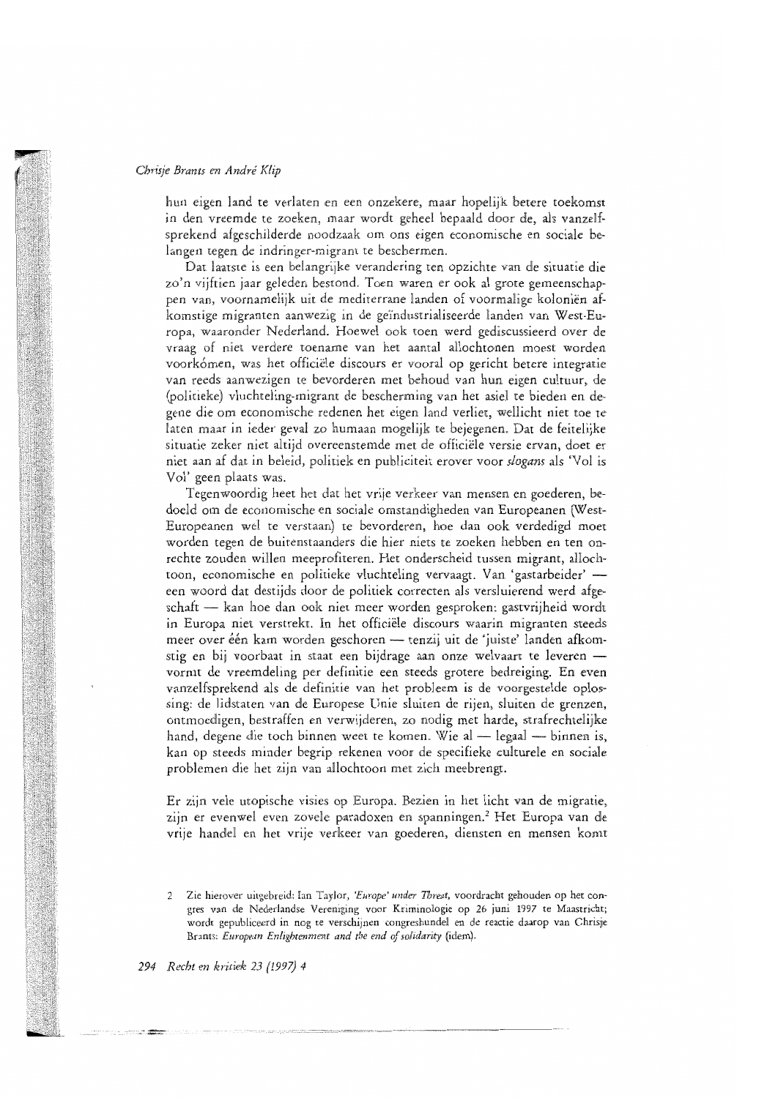hun eigen land te verlaten en een onzekere, maar hopelijk betere toekomst in den vreemde te zoeken, maar wordt geheel bepaald door de, als vanzelfsprekend afgeschilderde noodzaak om ons eigen economische en sociale belangen tegen de indringer-migrant te beschermen.

Dat laatste is een belangrijke verandering ten opzichte van de situatie die zo'n viiftien jaar geleden bestond. Toen waren er ook al grote gemeenschappen van, voornamelijk uit de mediterrane landen of voormalige koloniën afkomstige migranten aanwezig in de geïndustrialiseerde landen van West-Europa, waaronder Nederland. Hoewel ook toen werd gediscussieerd over de vraag of niet verdere toename van het aantal allochtonen moest worden voorkómen, was het officiële discours er vooral op gericht betere integratie van reeds aanwezigen te bevorderen met behoud van hun eigen cultuur, de (politieke) vluchteling-migrant de bescherming van het asiel te bieden en degene die om economische redenen het eigen land verliet, wellicht niet toe te laten maar in ieder geval zo humaan mogelijk te bejegenen. Dat de feitelijke situatie zeker niet altiid overeenstemde met de officiële versie ervan, doet er niet aan af dat in beleid, politiek en publiciteit erover voor slogans als 'Vol is Vol' geen plaats was.

Tegenwoordig heet het dat het vrije verkeer van mensen en goederen, bedoeld om de economische en sociale omstandigheden van Europeanen (West-Europeanen wel te verstaan) te bevorderen, hoe dan ook verdedigd moet worden tegen de buitenstaanders die hier niets te zoeken hebben en ten onrechte zouden willen meeprofiteren. Het onderscheid tussen migrant, allochtoon, economische en politieke vluchteling vervaagt. Van 'gastarbeider' een woord dat destijds door de politiek correcten als versluierend werd afgeschaft - kan hoe dan ook niet meer worden gesproken: gastvrijheid wordt in Europa niet verstrekt. In het officiële discours waarin migranten steeds meer over één kam worden geschoren — tenzij uit de 'juiste' landen afkomstig en bij voorbaat in staat een bijdrage aan onze welvaart te leveren vormt de vreemdeling per definitie een steeds grotere bedreiging. En even vanzelfsprekend als de definitie van het probleem is de voorgestelde oplossing: de lidstaten van de Europese Unie sluiten de rijen, sluiten de grenzen, ontmoedigen, bestraffen en verwijderen, zo nodig met harde, strafrechtelijke hand, degene die toch binnen weet te komen. Wie al - legaal - binnen is, kan op steeds minder begrip rekenen voor de specifieke culturele en sociale problemen die het zijn van allochtoon met zich meebrengt.

Er zijn vele utopische visies op Europa. Bezien in het licht van de migratie, zijn er evenwel even zovele paradoxen en spanningen.<sup>2</sup> Het Europa van de vrije handel en het vrije verkeer van goederen, diensten en mensen komt

<sup>2</sup> Zie hierover uitgebreid: Ian Taylor, 'Europe' under Threat, voordracht gehouden op het congres van de Nederlandse Vereniging voor Kriminologie op 26 juni 1997 te Maastricht; wordt gepubliceerd in nog te verschijnen congresbundel en de reactie daarop van Chrisje Brants: European Enlightenment and the end of solidarity (idem).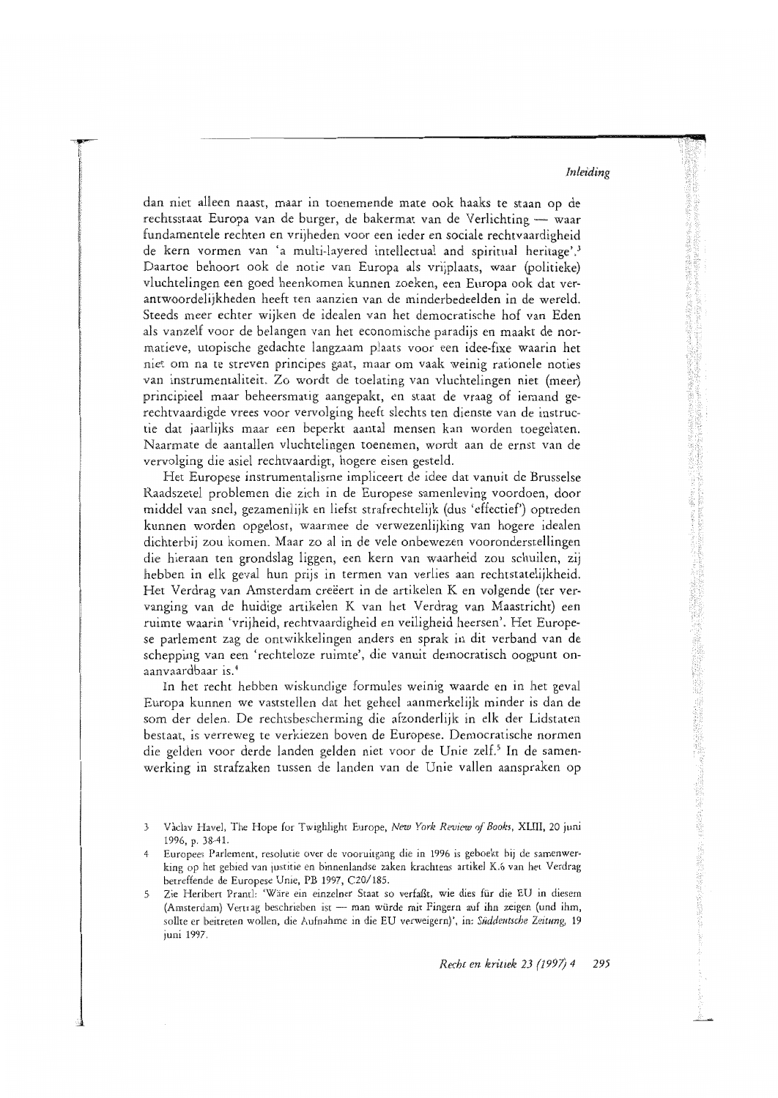dan niet alleen naast, maar in toenemende mate ook haaks te staan op de rechtsstaat Europa van de burger, de bakermat van de Verlichting — waar fundamentele rechten en vrijheden voor een ieder en sociale rechtvaardigheid de kern vormen van 'a multi-layered intellectual and spiritual heritage'.<sup>3</sup> Daartoe behoort ook de notie van Europa als vrijplaats, waar (politieke) vluchtelingen een goed heenkomen kunnen zoeken, een Europa ook dat verantwoordelijkheden heeft ten aanzien van de minderbedeelden in de wereld. Steeds meer echter wijken de idealen van het democratische hof van Eden als vanzelf voor de belangen van het economische paradijs en maakt de normatieve, utopische gedachte langzaam plaats voor een idee-fixe waarin het niet om na te streven principes gaat, maar om vaak weinig rationele noties van instrumentaliteit. Zo wordt de toelating van vluchtelingen niet (meer) principieel maar beheersmatig aangepakt, en staat de vraag of iemand gerechtvaardigde vrees voor vervolging heeft slechts ten dienste van de instructie dat jaarlijks maar een beperkt aantal mensen kan worden toegelaten. Naarmate de aantallen vluchtelingen toenemen, wordt aan de ernst van de vervolging die asiel rechtvaardigt, hogere eisen gesteld.

Het Europese instrumentalisme impliceert de idee dat vanuit de Brusselse Raadszetel problemen die zich in de Europese samenleving voordoen, door middel van snel, gezamenlijk en liefst strafrechtelijk (dus 'effectief') optreden kunnen worden opgelost, waarmee de verwezenlijking van hogere idealen dichterbij zou komen. Maar zo al in de vele onbewezen vooronderstellingen die hieraan ten grondslag liggen, een kern van waarheid zou schuilen, zij hebben in elk geval hun prijs in termen van verlies aan rechtstatelijkheid. Het Verdrag van Amsterdam creëert in de artikelen K en volgende (ter vervanging van de huidige artikelen K van het Verdrag van Maastricht) een ruimte waarin 'vrijheid, rechtvaardigheid en veiligheid heersen'. Het Europese parlement zag de ontwikkelingen anders en sprak in dit verband van de schepping van een 'rechteloze ruimte', die vanuit democratisch oogpunt onaanvaardbaar is.<sup>4</sup>

In het recht hebben wiskundige formules weinig waarde en in het geval Europa kunnen we vaststellen dat het geheel aanmerkelijk minder is dan de som der delen. De rechtsbescherming die afzonderlijk in elk der Lidstaten bestaat, is verreweg te verkiezen boven de Europese. Democratische normen die gelden voor derde landen gelden niet voor de Unie zelf.<sup>5</sup> In de samenwerking in strafzaken tussen de landen van de Unie vallen aanspraken op

Vàclav Havel, The Hope for Twighlight Europe, New York Review of Books, XLIII, 20 juni 3 1996, p. 38-41.

Europees Parlement, resolutie over de vooruitgang die in 1996 is geboekt bij de samenwer-4 king op het gebied van justitie en binnenlandse zaken krachtens artikel K.6 van het Verdrag betreffende de Europese Unie, PB 1997, C20/185.

Zie Heribert Prantl: 'Wäre ein einzelner Staat so verfaßt, wie dies für die EU in diesem 5 (Amsterdam) Vertrag beschrieben ist - man würde mit Fingern auf ihn zeigen (und ihm, sollte er beitreten wollen, die Aufnahme in die EU verweigern)', in: Süddentsche Zeitung, 19 juni 1997.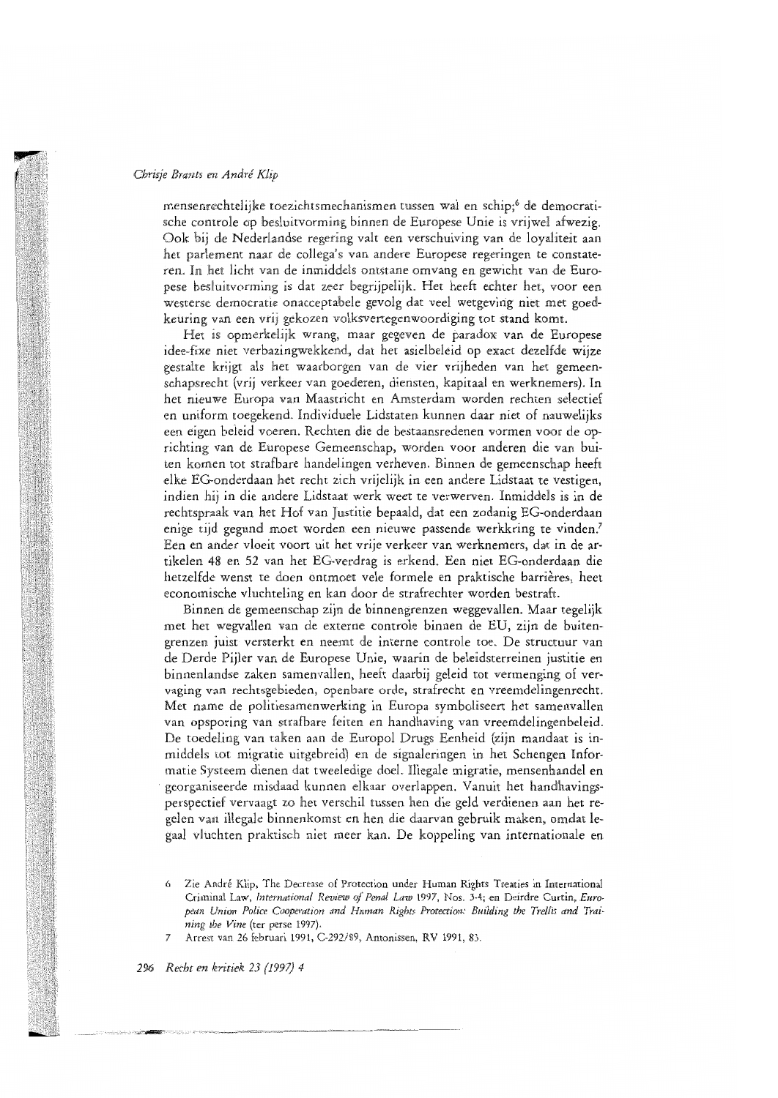mensenrechtelijke toezichtsmechanismen tussen wal en schip;6 de democratische controle op besluitvorming binnen de Europese Unie is vrijwel afwezig. Ook bij de Nederlandse regering valt een verschuiving van de lovaliteit aan het parlement naar de collega's van andere Europese regeringen te constateren. In het licht van de inmiddels ontstane omvang en gewicht van de Europese besluitvorming is dat zeer begrijpelijk. Het heeft echter het, voor een westerse democratie onacceptabele gevolg dat veel wetgeving niet met goedkeuring van een vrij gekozen volksvertegenwoordiging tot stand komt.

Het is opmerkelijk wrang, maar gegeven de paradox van de Europese idee-fixe niet verbazingwekkend, dat het asielbeleid op exact dezelfde wijze gestalte krijgt als het waarborgen van de vier vrijheden van het gemeenschapsrecht (vrij verkeer van goederen, diensten, kapitaal en werknemers). In het nieuwe Europa van Maastricht en Amsterdam worden rechten selectief en uniform toegekend. Individuele Lidstaten kunnen daar niet of nauwelijks een eigen beleid voeren. Rechten die de bestaansredenen vormen voor de oprichting van de Europese Gemeenschap, worden voor anderen die van buiten komen tot strafbare handelingen verheven. Binnen de gemeenschap heeft elke EG-onderdaan het recht zich vrijelijk in een andere Lidstaat te vestigen. indien hij in die andere Lidstaat werk weet te verwerven. Inmiddels is in de rechtspraak van het Hof van Justitie bepaald, dat een zodanig EG-onderdaan enige tijd gegund moet worden een nieuwe passende werkkring te vinden.<sup>7</sup> Een en ander vloeit voort uit het vrije verkeer van werknemers, dat in de artikelen 48 en 52 van het EG-verdrag is erkend. Een niet EG-onderdaan die hetzelfde wenst te doen ontmoet vele formele en praktische barrières, heet economische vluchteling en kan door de strafrechter worden bestraft.

Binnen de gemeenschap zijn de binnengrenzen weggevallen. Maar tegelijk met het wegvallen van de externe controle binnen de EU, zijn de buitengrenzen juist versterkt en neemt de interne controle toe. De structuur van de Derde Pijler van de Europese Unie, waarin de beleidsterreinen justitie en binnenlandse zaken samenvallen, heeft daarbij geleid tot vermenging of vervaging van rechtsgebieden, openbare orde, strafrecht en vreemdelingenrecht. Met name de politiesamenwerking in Europa symboliseert het samenvallen van opsporing van strafbare feiten en handhaving van vreemdelingenbeleid. De toedeling van taken aan de Europol Drugs Eenheid (zijn mandaat is inmiddels tot migratie uitgebreid) en de signaleringen in het Schengen Informatie Systeem dienen dat tweeledige doel. Illegale migratie, mensenhandel en georganiseerde misdaad kunnen elkaar overlappen. Vanuit het handhavingsperspectief vervaagt zo het verschil tussen hen die geld verdienen aan het regelen van illegale binnenkomst en hen die daarvan gebruik maken, omdat legaal vluchten praktisch niet meer kan. De koppeling van internationale en

Zie André Klip, The Decrease of Protection under Human Rights Treaties in International 6 Criminal Law, International Review of Penal Law 1997, Nos. 3-4; en Deirdre Curtin, European Union Police Cooperation and Human Rights Protection: Building the Trellis and Training the Vine (ter perse 1997).

Arrest van 26 februari 1991, C-292/89, Antonissen, RV 1991, 83.  $\overline{7}$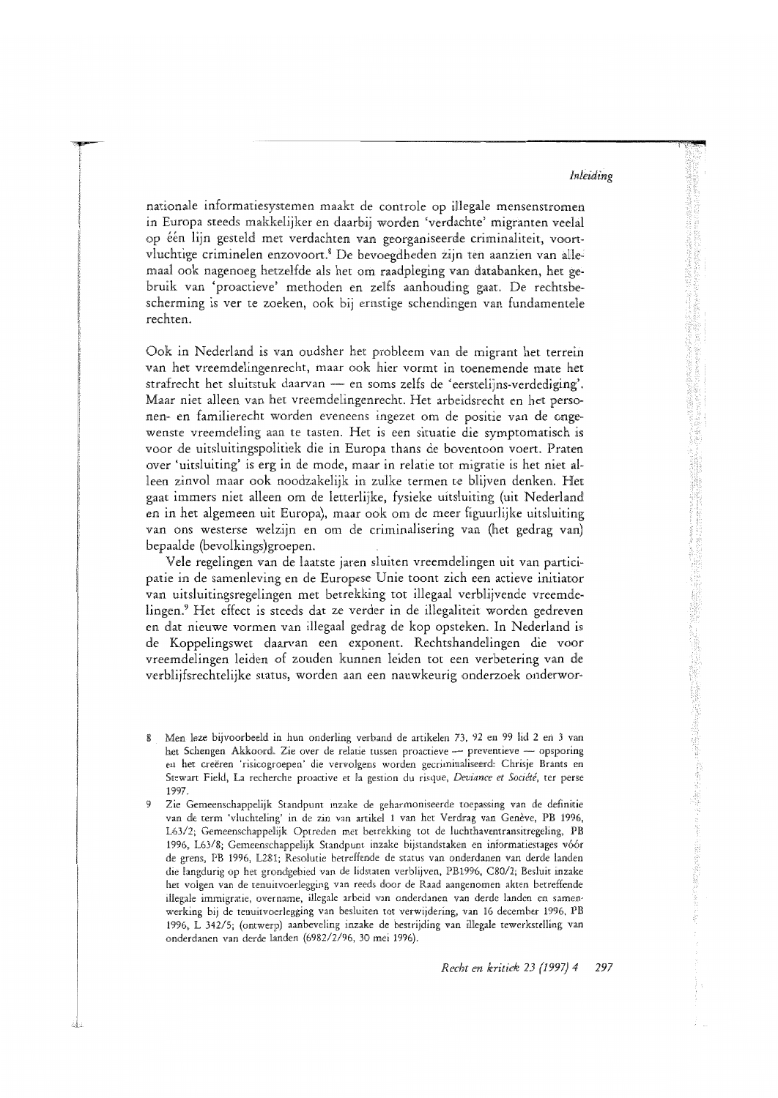nationale informatiesystemen maakt de controle op illegale mensenstromen in Europa steeds makkelijker en daarbij worden 'verdachte' migranten veelal op één lijn gesteld met verdachten van georganiseerde criminaliteit, voortvluchtige criminelen enzovoort.<sup>8</sup> De bevoegdheden zijn ten aanzien van allemaal ook nagenoeg hetzelfde als het om raadpleging van databanken, het gebruik van 'proactieve' methoden en zelfs aanhouding gaat. De rechtsbescherming is ver te zoeken, ook bij ernstige schendingen van fundamentele rechten

Ook in Nederland is van oudsher het probleem van de migrant het terrein van het vreemdelingenrecht, maar ook hier vormt in toenemende mate het strafrecht het sluitstuk daarvan - en soms zelfs de 'eerstelijns-verdediging'. Maar niet alleen van het vreemdelingenrecht. Het arbeidsrecht en het personen- en familierecht worden eveneens ingezet om de positie van de ongewenste vreemdeling aan te tasten. Het is een situatie die symptomatisch is voor de uitsluitingspolitiek die in Europa thans de boventoon voert. Praten over 'uitsluiting' is erg in de mode, maar in relatie tot migratie is het niet alleen zinvol maar ook noodzakelijk in zulke termen te blijven denken. Het gaat immers niet alleen om de letterlijke, fysieke uitsluiting (uit Nederland en in het algemeen uit Europa), maar ook om de meer figuurlijke uitsluiting van ons westerse welzijn en om de criminalisering van (het gedrag van) bepaalde (bevolkings)groepen.

Vele regelingen van de laatste jaren sluiten vreemdelingen uit van participatie in de samenleving en de Europese Unie toont zich een actieve initiator van uitsluitingsregelingen met betrekking tot illegaal verblijvende vreemdelingen.<sup>9</sup> Het effect is steeds dat ze verder in de illegaliteit worden gedreven en dat nieuwe vormen van illegaal gedrag de kop opsteken. In Nederland is de Koppelingswet daarvan een exponent. Rechtshandelingen die voor vreemdelingen leiden of zouden kunnen leiden tot een verbetering van de verblijfsrechtelijke status, worden aan een nauwkeurig onderzoek onderwor-

Men leze bijvoorbeeld in hun onderling verband de artikelen 73, 92 en 99 lid 2 en 3 van 8 het Schengen Akkoord. Zie over de relatie tussen proactieve - preventieve - opsporing en het creëren 'risicogroepen' die vervolgens worden gecriminaliseerd: Chrisje Brants en Stewart Field, La recherche proactive et la gestion du risque, Deviance et Société, ter perse 1997.

<sup>9</sup> Zie Gemeenschappelijk Standpunt inzake de geharmoniseerde toepassing van de definitie van de term 'vluchteling' in de zin van artikel 1 van het Verdrag van Genève, PB 1996, L63/2; Gemeenschappelijk Optreden met betrekking tot de luchthaventransitregeling, PB 1996, L63/8; Gemeenschappelijk Standpunt inzake bijstandstaken en informatiestages vóór de grens, PB 1996, L281; Resolutie betreffende de status van onderdanen van derde landen die langdurig op het grondgebied van de lidstaten verblijven, PB1996, C80/2; Besluit inzake het volgen van de tenuitvoerlegging van reeds door de Raad aangenomen akten betreffende illegale immigratie, overname, illegale arbeid van onderdanen van derde landen en samenwerking bij de tenuitvoerlegging van besluiten tot verwijdering, van 16 december 1996, PB 1996, L 342/5; (ontwerp) aanbeveling inzake de bestrijding van illegale tewerkstelling van onderdanen van derde landen (6982/2/96, 30 mei 1996).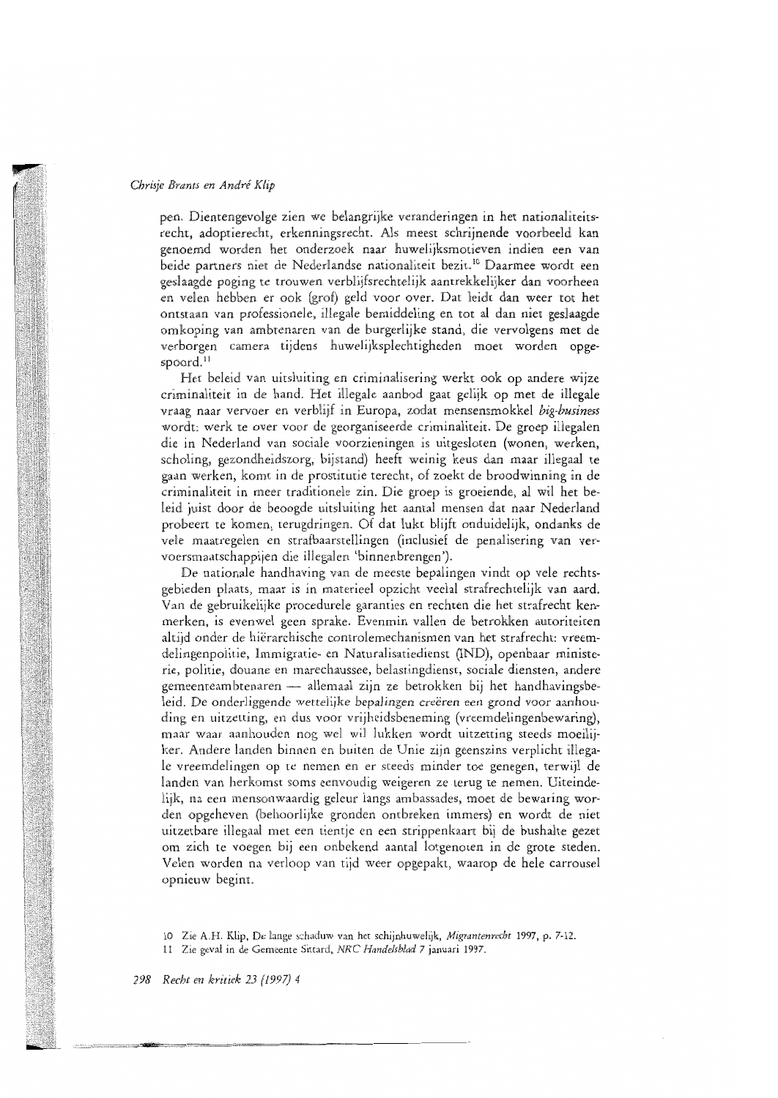pen. Dientengevolge zien we belangrijke veranderingen in het nationaliteitsrecht, adoptierecht, erkenningsrecht. Als meest schrijnende voorbeeld kan genoemd worden het onderzoek naar huwelijksmotieven indien een van beide partners niet de Nederlandse nationaliteit bezit.<sup>10</sup> Daarmee wordt een geslaagde poging te trouwen verblijfsrechtelijk aantrekkelijker dan voorheen en velen hebben er ook (grof) geld voor over. Dat leidt dan weer tot het ontstaan van professionele, illegale bemiddeling en tot al dan niet geslaagde omkoping van ambtenaren van de burgerlijke stand, die vervolgens met de verborgen camera tijdens huwelijksplechtigheden moet worden opge $good<sup>11</sup>$ 

Het beleid van uitsluiting en criminalisering werkt ook op andere wijze criminaliteit in de hand. Het illegale aanbod gaat gelijk op met de illegale vraag naar vervoer en verblijf in Europa, zodat mensensmokkel big-business wordt: werk te over voor de georganiseerde criminaliteit. De groep illegalen die in Nederland van sociale voorzieningen is uitgesloten (wonen, werken, scholing, gezondheidszorg, bijstand) heeft weinig keus dan maar illegaal te gaan werken, komt in de prostitutie terecht, of zoekt de broodwinning in de criminaliteit in meer traditionele zin. Die groep is groeiende, al wil het beleid juist door de beoogde uitsluiting het aantal mensen dat naar Nederland probeert te komen, terugdringen. Of dat lukt blijft onduidelijk, ondanks de vele maatregelen en strafbaarstellingen (inclusief de penalisering van vervoersmaatschappijen die illegalen 'binnenbrengen').

De nationale handhaving van de meeste bepalingen vindt op vele rechtsgebieden plaats, maar is in materieel opzicht veelal strafrechtelijk van aard. Van de gebruikelijke procedurele garanties en rechten die het strafrecht kenmerken, is evenwel geen sprake. Evenmin vallen de betrokken autoriteiten altijd onder de hiërarchische controlemechanismen van het strafrecht: vreemdelingenpolitie, Immigratie- en Naturalisatiedienst (IND), openbaar ministerie, politie, douane en marechaussee, belastingdienst, sociale diensten, andere gemeenteambtenaren — allemaal zijn ze betrokken bij het handhavingsbeleid. De onderliggende wettelijke bepalingen creëren een grond voor aanhouding en uitzetting, en dus voor vrijheidsbeneming (vreemdelingenbewaring), maar waar aanhouden nog wel wil lukken wordt uitzetting steeds moeilijker. Andere landen binnen en buiten de Unie zijn geenszins verplicht illegale vreemdelingen op te nemen en er steeds minder toe genegen, terwijl de landen van herkomst soms eenvoudig weigeren ze terug te nemen. Uiteindelijk, na een mensonwaardig geleur langs ambassades, moet de bewaring worden opgeheven (behoorlijke gronden ontbreken immers) en wordt de niet uitzetbare illegaal met een tientje en een strippenkaart bij de bushalte gezet om zich te voegen bij een onbekend aantal lotgenoten in de grote steden. Velen worden na verloop van tijd weer opgepakt, waarop de hele carrousel opnieuw begint.

11 Zie geval in de Gemeente Sittard, NRC Handelsblad 7 januari 1997.

<sup>10</sup> Zie A.H. Klip, De lange schaduw van het schijnhuwelijk, Migrantenrecht 1997, p. 7-12.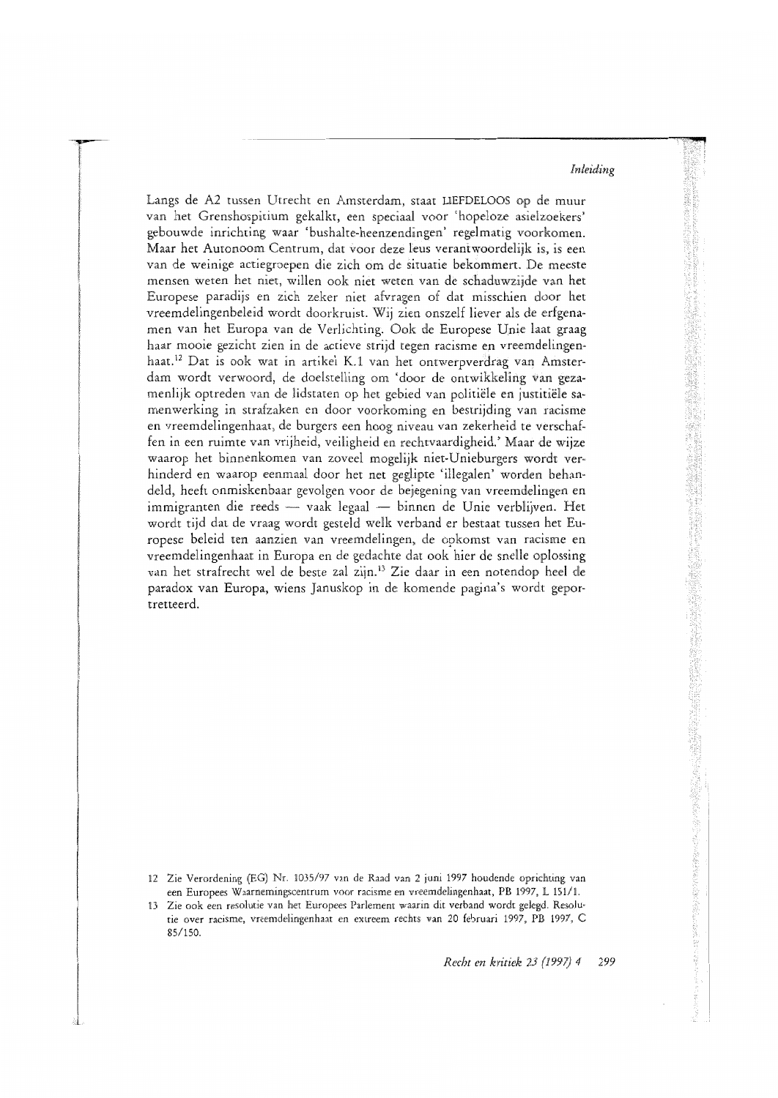Langs de A2 tussen Utrecht en Amsterdam, staat LIEFDELOOS op de muur van het Grenshospitium gekalkt, een speciaal voor 'hopeloze asielzoekers' gebouwde inrichting waar 'bushalte-heenzendingen' regelmatig voorkomen. Maar het Autonoom Centrum, dat voor deze leus verantwoordelijk is, is een van de weinige actiegroepen die zich om de situatie bekommert. De meeste mensen weten het niet, willen ook niet weten van de schaduwzijde van het Europese paradijs en zich zeker niet afvragen of dat misschien door het vreemdelingenbeleid wordt doorkruist. Wij zien onszelf liever als de erfgenamen van het Europa van de Verlichting. Ook de Europese Unie laat graag haar mooie gezicht zien in de actieve strijd tegen racisme en vreemdelingenhaat.<sup>12</sup> Dat is ook wat in artikel K.1 van het ontwerpverdrag van Amsterdam wordt verwoord, de doelstelling om 'door de ontwikkeling van gezamenlijk optreden van de lidstaten op het gebied van politiële en justitiële samenwerking in strafzaken en door voorkoming en bestrijding van racisme en vreemdelingenhaat, de burgers een hoog niveau van zekerheid te verschaffen in een ruimte van vrijheid, veiligheid en rechtvaardigheid.' Maar de wijze waarop het binnenkomen van zoveel mogelijk niet-Unieburgers wordt verhinderd en waarop eenmaal door het net geglipte 'illegalen' worden behandeld, heeft onmiskenbaar gevolgen voor de bejegening van vreemdelingen en immigranten die reeds - vaak legaal - binnen de Unie verblijven. Het wordt tijd dat de vraag wordt gesteld welk verband er bestaat tussen het Europese beleid ten aanzien van vreemdelingen, de opkomst van racisme en vreemdelingenhaat in Europa en de gedachte dat ook hier de snelle oplossing van het strafrecht wel de beste zal zijn.<sup>13</sup> Zie daar in een notendop heel de paradox van Europa, wiens Januskop in de komende pagina's wordt geportretteerd.

- 12 Zie Verordening (EG) Nr. 1035/97 van de Raad van 2 juni 1997 houdende oprichting van een Europees Waarnemingscentrum voor racisme en vreemdelingenhaat, PB 1997, L 151/1.
- 13 Zie ook een resolutie van het Europees Parlement waarin dit verband wordt gelegd. Resolutie over racisme, vreemdelingenhaat en extreem rechts van 20 februari 1997, PB 1997, C 85/150.